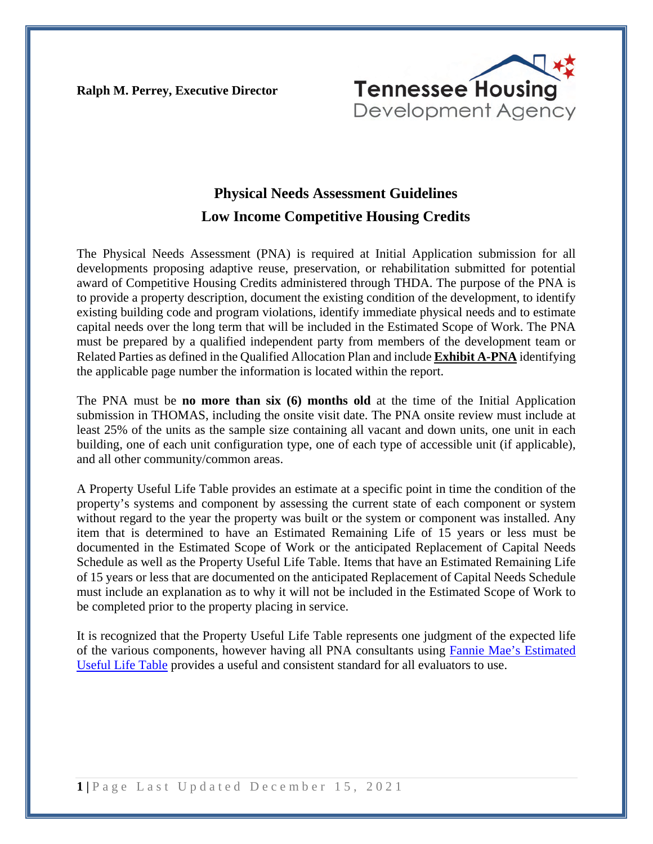**Ralph M. Perrey, Executive Director**



## **Physical Needs Assessment Guidelines Low Income Competitive Housing Credits**

The Physical Needs Assessment (PNA) is required at Initial Application submission for all developments proposing adaptive reuse, preservation, or rehabilitation submitted for potential award of Competitive Housing Credits administered through THDA. The purpose of the PNA is to provide a property description, document the existing condition of the development, to identify existing building code and program violations, identify immediate physical needs and to estimate capital needs over the long term that will be included in the Estimated Scope of Work. The PNA must be prepared by a qualified independent party from members of the development team or Related Parties as defined in the Qualified Allocation Plan and include **Exhibit A-PNA** identifying the applicable page number the information is located within the report.

The PNA must be **no more than six (6) months old** at the time of the Initial Application submission in THOMAS, including the onsite visit date. The PNA onsite review must include at least 25% of the units as the sample size containing all vacant and down units, one unit in each building, one of each unit configuration type, one of each type of accessible unit (if applicable), and all other community/common areas.

A Property Useful Life Table provides an estimate at a specific point in time the condition of the property's systems and component by assessing the current state of each component or system without regard to the year the property was built or the system or component was installed. Any item that is determined to have an Estimated Remaining Life of 15 years or less must be documented in the Estimated Scope of Work or the anticipated Replacement of Capital Needs Schedule as well as the Property Useful Life Table. Items that have an Estimated Remaining Life of 15 years or less that are documented on the anticipated Replacement of Capital Needs Schedule must include an explanation as to why it will not be included in the Estimated Scope of Work to be completed prior to the property placing in service.

It is recognized that the Property Useful Life Table represents one judgment of the expected life of the various components, however having all PNA consultants using [Fannie Mae's Estimated](https://www.fanniemae.com/content/guide_form/4099f.pdf)  [Useful Life Table](https://www.fanniemae.com/content/guide_form/4099f.pdf) provides a useful and consistent standard for all evaluators to use.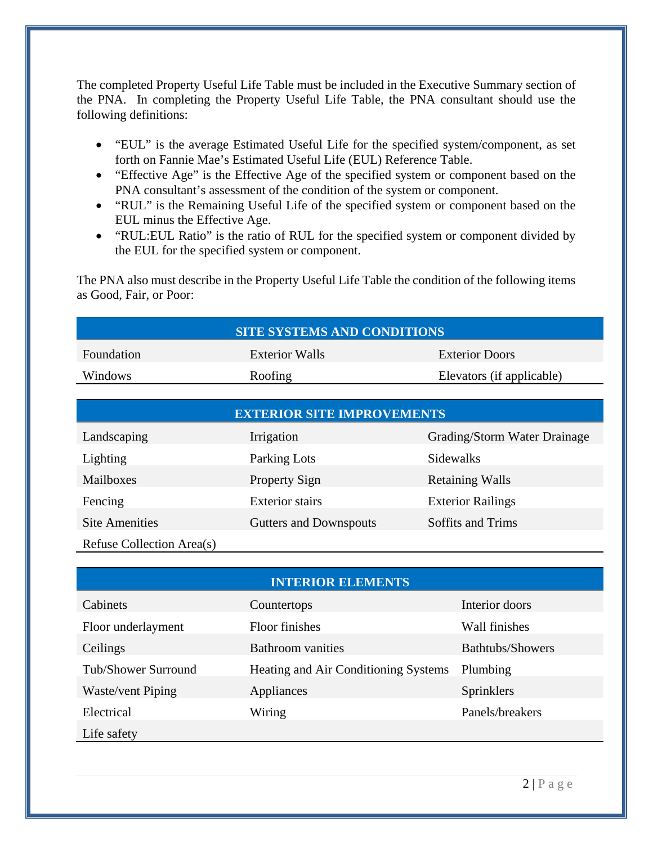The completed Property Useful Life Table must be included in the Executive Summary section of the PNA. In completing the Property Useful Life Table, the PNA consultant should use the following definitions:

- "EUL" is the average Estimated Useful Life for the specified system/component, as set forth on Fannie Mae's Estimated Useful Life (EUL) Reference Table.
- "Effective Age" is the Effective Age of the specified system or component based on the PNA consultant's assessment of the condition of the system or component.
- "RUL" is the Remaining Useful Life of the specified system or component based on the EUL minus the Effective Age.
- "RUL:EUL Ratio" is the ratio of RUL for the specified system or component divided by the EUL for the specified system or component.

The PNA also must describe in the Property Useful Life Table the condition of the following items as Good, Fair, or Poor:

| <b>SITE SYSTEMS AND CONDITIONS</b> |                |                           |  |  |
|------------------------------------|----------------|---------------------------|--|--|
| Foundation                         | Exterior Walls | <b>Exterior Doors</b>     |  |  |
| <b>Windows</b>                     | Roofing        | Elevators (if applicable) |  |  |

| <b>EXTERIOR SITE IMPROVEMENTS</b> |                        |                              |  |  |
|-----------------------------------|------------------------|------------------------------|--|--|
| Landscaping                       | Irrigation             | Grading/Storm Water Drainage |  |  |
| Lighting                          | Parking Lots           | Sidewalks                    |  |  |
| Mailboxes                         | <b>Property Sign</b>   | <b>Retaining Walls</b>       |  |  |
| Fencing                           | <b>Exterior</b> stairs | <b>Exterior Railings</b>     |  |  |
| <b>Site Amenities</b>             | Gutters and Downspouts | Soffits and Trims            |  |  |
| Refuse Collection Area(s)         |                        |                              |  |  |

| <b>INTERIOR ELEMENTS</b> |                                             |                  |  |  |  |
|--------------------------|---------------------------------------------|------------------|--|--|--|
| Cabinets                 | Countertops                                 | Interior doors   |  |  |  |
| Floor underlayment       | <b>Floor finishes</b>                       | Wall finishes    |  |  |  |
| Ceilings                 | <b>Bathroom</b> vanities                    | Bathtubs/Showers |  |  |  |
| Tub/Shower Surround      | <b>Heating and Air Conditioning Systems</b> | Plumbing         |  |  |  |
| Waste/vent Piping        | Appliances                                  | Sprinklers       |  |  |  |
| Electrical               | Wiring                                      | Panels/breakers  |  |  |  |
| Life safety              |                                             |                  |  |  |  |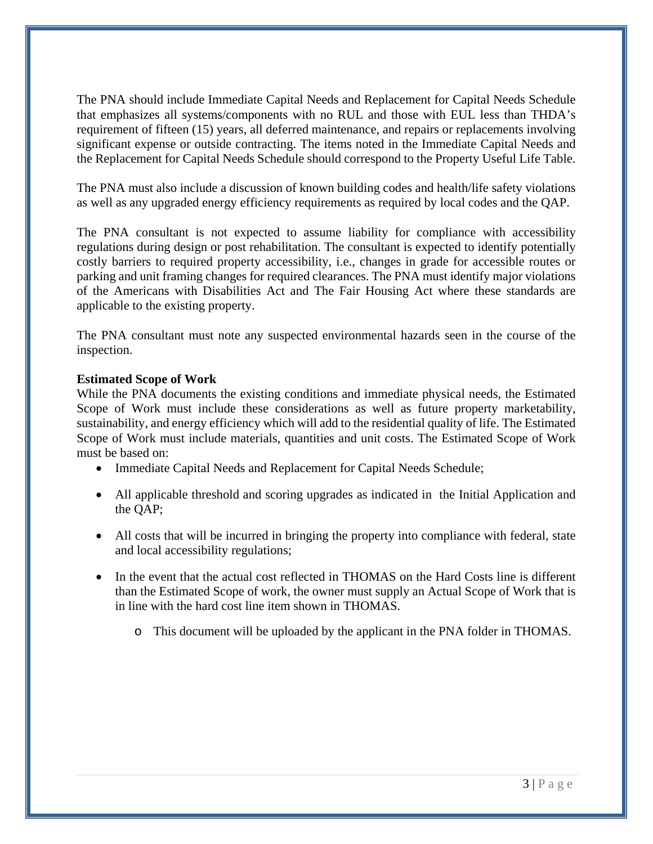The PNA should include Immediate Capital Needs and Replacement for Capital Needs Schedule that emphasizes all systems/components with no RUL and those with EUL less than THDA's requirement of fifteen (15) years, all deferred maintenance, and repairs or replacements involving significant expense or outside contracting. The items noted in the Immediate Capital Needs and the Replacement for Capital Needs Schedule should correspond to the Property Useful Life Table.

The PNA must also include a discussion of known building codes and health/life safety violations as well as any upgraded energy efficiency requirements as required by local codes and the QAP.

The PNA consultant is not expected to assume liability for compliance with accessibility regulations during design or post rehabilitation. The consultant is expected to identify potentially costly barriers to required property accessibility, i.e., changes in grade for accessible routes or parking and unit framing changes for required clearances. The PNA must identify major violations of the Americans with Disabilities Act and The Fair Housing Act where these standards are applicable to the existing property.

The PNA consultant must note any suspected environmental hazards seen in the course of the inspection.

## **Estimated Scope of Work**

While the PNA documents the existing conditions and immediate physical needs, the Estimated Scope of Work must include these considerations as well as future property marketability, sustainability, and energy efficiency which will add to the residential quality of life. The Estimated Scope of Work must include materials, quantities and unit costs. The Estimated Scope of Work must be based on:

- Immediate Capital Needs and Replacement for Capital Needs Schedule;
- All applicable threshold and scoring upgrades as indicated in the Initial Application and the QAP;
- All costs that will be incurred in bringing the property into compliance with federal, state and local accessibility regulations;
- In the event that the actual cost reflected in THOMAS on the Hard Costs line is different than the Estimated Scope of work, the owner must supply an Actual Scope of Work that is in line with the hard cost line item shown in THOMAS.
	- o This document will be uploaded by the applicant in the PNA folder in THOMAS.